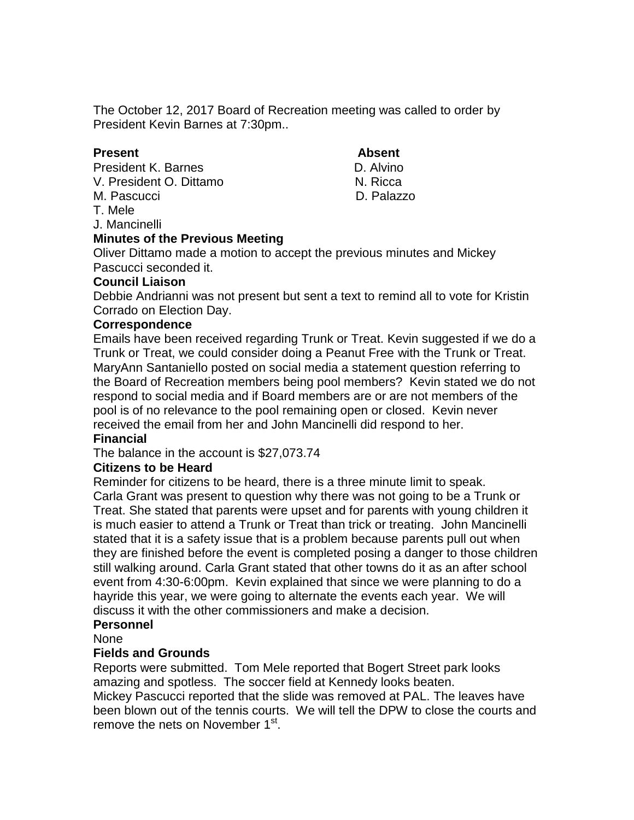The October 12, 2017 Board of Recreation meeting was called to order by President Kevin Barnes at 7:30pm..

## **Present Absent**

President K. Barnes **D. Alvino** V. President O. Dittamo N. Ricca M. Pascucci D. Palazzo T. Mele

J. Mancinelli

# **Minutes of the Previous Meeting**

Oliver Dittamo made a motion to accept the previous minutes and Mickey Pascucci seconded it.

## **Council Liaison**

Debbie Andrianni was not present but sent a text to remind all to vote for Kristin Corrado on Election Day.

## **Correspondence**

Emails have been received regarding Trunk or Treat. Kevin suggested if we do a Trunk or Treat, we could consider doing a Peanut Free with the Trunk or Treat. MaryAnn Santaniello posted on social media a statement question referring to the Board of Recreation members being pool members? Kevin stated we do not respond to social media and if Board members are or are not members of the pool is of no relevance to the pool remaining open or closed. Kevin never received the email from her and John Mancinelli did respond to her.

## **Financial**

The balance in the account is \$27,073.74

## **Citizens to be Heard**

Reminder for citizens to be heard, there is a three minute limit to speak. Carla Grant was present to question why there was not going to be a Trunk or Treat. She stated that parents were upset and for parents with young children it is much easier to attend a Trunk or Treat than trick or treating. John Mancinelli stated that it is a safety issue that is a problem because parents pull out when they are finished before the event is completed posing a danger to those children still walking around. Carla Grant stated that other towns do it as an after school event from 4:30-6:00pm. Kevin explained that since we were planning to do a hayride this year, we were going to alternate the events each year. We will discuss it with the other commissioners and make a decision.

## **Personnel**

None

## **Fields and Grounds**

Reports were submitted. Tom Mele reported that Bogert Street park looks amazing and spotless. The soccer field at Kennedy looks beaten. Mickey Pascucci reported that the slide was removed at PAL. The leaves have been blown out of the tennis courts. We will tell the DPW to close the courts and remove the nets on November 1<sup>st</sup>.